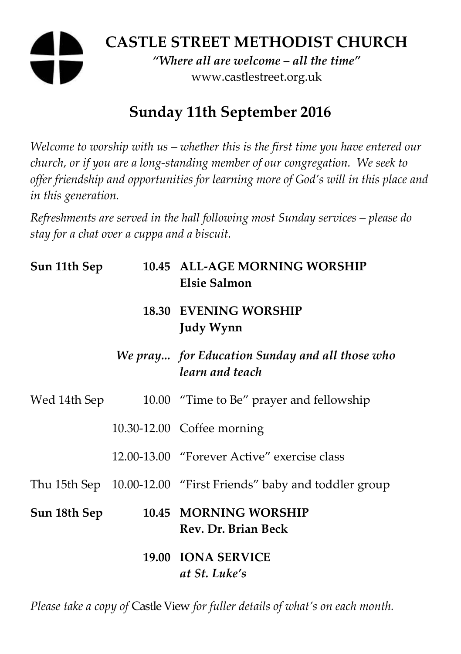# **CASTLE STREET METHODIST CHURCH**

*"Where all are welcome – all the time"*  www.castlestreet.org.uk

## **Sunday 11th September 2016**

*Welcome to worship with us – whether this is the first time you have entered our church, or if you are a long-standing member of our congregation. We seek to offer friendship and opportunities for learning more of God's will in this place and in this generation.* 

*Refreshments are served in the hall following most Sunday services – please do stay for a chat over a cuppa and a biscuit.* 

| Sun 11th Sep | 10.45 ALL-AGE MORNING WORSHIP<br><b>Elsie Salmon</b>              |
|--------------|-------------------------------------------------------------------|
|              | <b>18.30 EVENING WORSHIP</b><br><b>Judy Wynn</b>                  |
|              | We pray for Education Sunday and all those who<br>learn and teach |
| Wed 14th Sep | 10.00 "Time to Be" prayer and fellowship                          |
|              | 10.30-12.00 Coffee morning                                        |
|              | 12.00-13.00 "Forever Active" exercise class                       |
|              | Thu 15th Sep 10.00-12.00 "First Friends" baby and toddler group   |
| Sun 18th Sep | 10.45 MORNING WORSHIP<br>Rev. Dr. Brian Beck                      |
|              | 19.00 IONA SERVICE<br>at St. Luke's                               |

*Please take a copy of* Castle View *for fuller details of what's on each month.*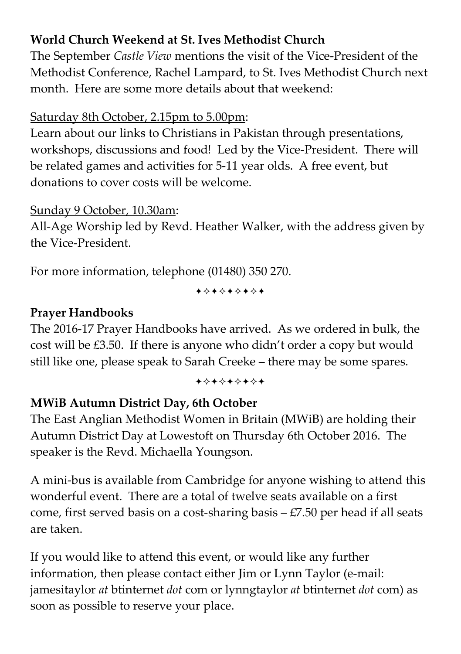### **World Church Weekend at St. Ives Methodist Church**

The September *Castle View* mentions the visit of the Vice-President of the Methodist Conference, Rachel Lampard, to St. Ives Methodist Church next month. Here are some more details about that weekend:

#### Saturday 8th October, 2.15pm to 5.00pm:

Learn about our links to Christians in Pakistan through presentations, workshops, discussions and food! Led by the Vice-President. There will be related games and activities for 5-11 year olds. A free event, but donations to cover costs will be welcome.

#### Sunday 9 October, 10.30am:

All-Age Worship led by Revd. Heather Walker, with the address given by the Vice-President.

For more information, telephone (01480) 350 270.

+\*\*\*\*\*\*\*

#### **Prayer Handbooks**

The 2016-17 Prayer Handbooks have arrived. As we ordered in bulk, the cost will be £3.50. If there is anyone who didn't order a copy but would still like one, please speak to Sarah Creeke – there may be some spares.

#### +\*\*\*\*\*\*\*

#### **MWiB Autumn District Day, 6th October**

The East Anglian Methodist Women in Britain (MWiB) are holding their Autumn District Day at Lowestoft on Thursday 6th October 2016. The speaker is the Revd. Michaella Youngson.

A mini-bus is available from Cambridge for anyone wishing to attend this wonderful event. There are a total of twelve seats available on a first come, first served basis on a cost-sharing basis – £7.50 per head if all seats are taken.

If you would like to attend this event, or would like any further information, then please contact either Jim or Lynn Taylor (e-mail: jamesitaylor *at* btinternet *dot* com or lynngtaylor *at* btinternet *dot* com) as soon as possible to reserve your place.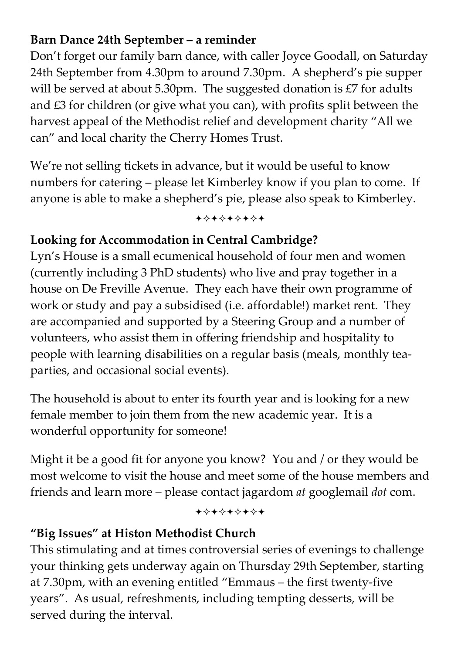### **Barn Dance 24th September – a reminder**

Don't forget our family barn dance, with caller Joyce Goodall, on Saturday 24th September from 4.30pm to around 7.30pm. A shepherd's pie supper will be served at about 5.30pm. The suggested donation is £7 for adults and £3 for children (or give what you can), with profits split between the harvest appeal of the Methodist relief and development charity "All we can" and local charity the Cherry Homes Trust.

We're not selling tickets in advance, but it would be useful to know numbers for catering – please let Kimberley know if you plan to come. If anyone is able to make a shepherd's pie, please also speak to Kimberley.

+\*\*\*\*\*\*\*

#### **Looking for Accommodation in Central Cambridge?**

Lyn's House is a small ecumenical household of four men and women (currently including 3 PhD students) who live and pray together in a house on De Freville Avenue. They each have their own programme of work or study and pay a subsidised (i.e. affordable!) market rent. They are accompanied and supported by a Steering Group and a number of volunteers, who assist them in offering friendship and hospitality to people with learning disabilities on a regular basis (meals, monthly teaparties, and occasional social events).

The household is about to enter its fourth year and is looking for a new female member to join them from the new academic year. It is a wonderful opportunity for someone!

Might it be a good fit for anyone you know? You and / or they would be most welcome to visit the house and meet some of the house members and friends and learn more – please contact jagardom *at* googlemail *dot* com.

+\*\*\*\*\*\*\*

#### **"Big Issues" at Histon Methodist Church**

This stimulating and at times controversial series of evenings to challenge your thinking gets underway again on Thursday 29th September, starting at 7.30pm, with an evening entitled "Emmaus – the first twenty-five years". As usual, refreshments, including tempting desserts, will be served during the interval.